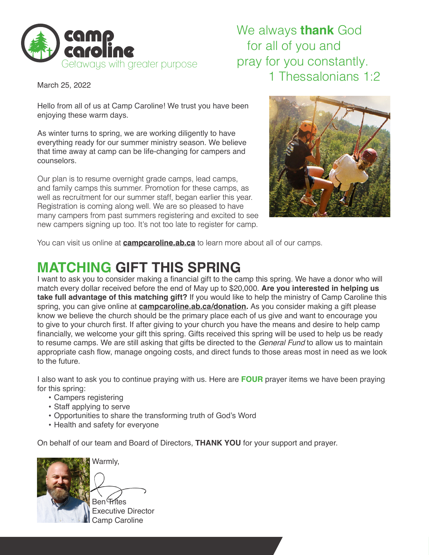

## We always **thank** God for all of you and pray for you constantly. 1 Thessalonians 1:2

March 25, 2022

Hello from all of us at Camp Caroline! We trust you have been enjoying these warm days.

As winter turns to spring, we are working diligently to have everything ready for our summer ministry season. We believe that time away at camp can be life-changing for campers and counselors.

Our plan is to resume overnight grade camps, lead camps, and family camps this summer. Promotion for these camps, as well as recruitment for our summer staff, began earlier this year. Registration is coming along well. We are so pleased to have many campers from past summers registering and excited to see new campers signing up too. It's not too late to register for camp.



You can visit us online at **campcaroline.ab.ca** to learn more about all of our camps.

## **MATCHING GIFT THIS SPRING**

I want to ask you to consider making a financial gift to the camp this spring. We have a donor who will match every dollar received before the end of May up to \$20,000. **Are you interested in helping us take full advantage of this matching gift?** If you would like to help the ministry of Camp Caroline this spring, you can give online at **campcaroline.ab.ca/donation.** As you consider making a gift please know we believe the church should be the primary place each of us give and want to encourage you to give to your church first. If after giving to your church you have the means and desire to help camp financially, we welcome your gift this spring. Gifts received this spring will be used to help us be ready to resume camps. We are still asking that gifts be directed to the *General Fund* to allow us to maintain appropriate cash flow, manage ongoing costs, and direct funds to those areas most in need as we look to the future.

I also want to ask you to continue praying with us. Here are **FOUR** prayer items we have been praying for this spring:

- Campers registering
- Staff applying to serve
- Opportunities to share the transforming truth of God's Word
- Health and safety for everyone

On behalf of our team and Board of Directors, **THANK YOU** for your support and prayer.



**Frites**  Executive Director Camp Caroline